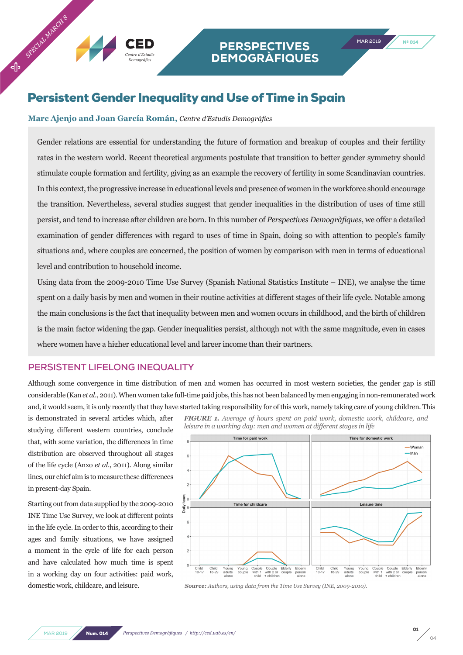## Persistent Gender Inequality and Use of Time in Spain

## **Marc Ajenjo and Joan García Román,** *Centre d'Estudis Demogràfics*

*Centre d'Estudis Demogràfics*

Gender relations are essential for understanding the future of formation and breakup of couples and their fertility rates in the western world. Recent theoretical arguments postulate that transition to better gender symmetry should stimulate couple formation and fertility, giving as an example the recovery of fertility in some Scandinavian countries. In this context, the progressive increase in educational levels and presence of women in the workforce should encourage the transition. Nevertheless, several studies suggest that gender inequalities in the distribution of uses of time still persist, and tend to increase after children are born. In this number of *Perspectives Demogràfiques*, we offer a detailed examination of gender differences with regard to uses of time in Spain, doing so with attention to people's family situations and, where couples are concerned, the position of women by comparison with men in terms of educational level and contribution to household income.

Using data from the 2009-2010 Time Use Survey (Spanish National Statistics Institute – INE), we analyse the time spent on a daily basis by men and women in their routine activities at different stages of their life cycle. Notable among the main conclusions is the fact that inequality between men and women occurs in childhood, and the birth of children is the main factor widening the gap. Gender inequalities persist, although not with the same magnitude, even in cases where women have a higher educational level and larger income than their partners.

## **PERSISTENT LIFELONG INEQUALITY**

Although some convergence in time distribution of men and women has occurred in most western societies, the gender gap is still considerable (Kan *et al*., 2011). When women take full-time paid jobs, this has not been balanced by men engaging in non-remunerated work and, it would seem, it is only recently that they have started taking responsibility for of this work, namely taking care of young children. This

is demonstrated in several articles which, after studying different western countries, conclude that, with some variation, the differences in time distribution are observed throughout all stages of the life cycle (Anxo *et al*., 2011). Along similar lines, our chief aim is to measure these differences in present-day Spain.

Starting out from data supplied by the 2009-2010 INE Time Use Survey, we look at different points in the life cycle. In order to this, according to their ages and family situations, we have assigned a moment in the cycle of life for each person and have calculated how much time is spent in a working day on four activities: paid work, domestic work, childcare, and leisure. *Source: Authors, using data from the Time Use Survey (INE, 2009-2010).*

*FIGURE 1. Average of hours spent on paid work, domestic work, childcare, and leisure in a working day: men and women at different stages in life*





$$
\begin{array}{c}\n\mathbf{01} \\
\hline\n04\n\end{array}
$$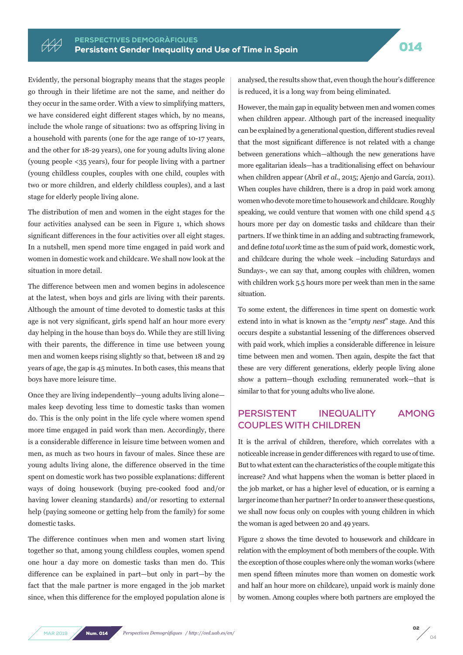Evidently, the personal biography means that the stages people go through in their lifetime are not the same, and neither do they occur in the same order. With a view to simplifying matters, we have considered eight different stages which, by no means, include the whole range of situations: two as offspring living in a household with parents (one for the age range of 10-17 years, and the other for 18-29 years), one for young adults living alone (young people <35 years), four for people living with a partner (young childless couples, couples with one child, couples with two or more children, and elderly childless couples), and a last stage for elderly people living alone.

HH

The distribution of men and women in the eight stages for the four activities analysed can be seen in Figure 1, which shows significant differences in the four activities over all eight stages. In a nutshell, men spend more time engaged in paid work and women in domestic work and childcare. We shall now look at the situation in more detail.

The difference between men and women begins in adolescence at the latest, when boys and girls are living with their parents. Although the amount of time devoted to domestic tasks at this age is not very significant, girls spend half an hour more every day helping in the house than boys do. While they are still living with their parents, the difference in time use between young men and women keeps rising slightly so that, between 18 and 29 years of age, the gap is 45 minutes. In both cases, this means that boys have more leisure time.

Once they are living independently—young adults living alone males keep devoting less time to domestic tasks than women do. This is the only point in the life cycle where women spend more time engaged in paid work than men. Accordingly, there is a considerable difference in leisure time between women and men, as much as two hours in favour of males. Since these are young adults living alone, the difference observed in the time spent on domestic work has two possible explanations: different ways of doing housework (buying pre-cooked food and/or having lower cleaning standards) and/or resorting to external help (paying someone or getting help from the family) for some domestic tasks.

The difference continues when men and women start living together so that, among young childless couples, women spend one hour a day more on domestic tasks than men do. This difference can be explained in part—but only in part—by the fact that the male partner is more engaged in the job market since, when this difference for the employed population alone is analysed, the results show that, even though the hour's difference is reduced, it is a long way from being eliminated.

However, the main gap in equality between men and women comes when children appear. Although part of the increased inequality can be explained by a generational question, different studies reveal that the most significant difference is not related with a change between generations which—although the new generations have more egalitarian ideals—has a traditionalising effect on behaviour when children appear (Abril *et al.*, 2015; Ajenjo and García, 2011). When couples have children, there is a drop in paid work among women who devote more time to housework and childcare. Roughly speaking, we could venture that women with one child spend 4.5 hours more per day on domestic tasks and childcare than their partners. If we think time in an adding and subtracting framework, and define *total work* time as the sum of paid work, domestic work, and childcare during the whole week –including Saturdays and Sundays-, we can say that, among couples with children, women with children work 5.5 hours more per week than men in the same situation.

To some extent, the differences in time spent on domestic work extend into in what is known as the "*empty nest*" stage. And this occurs despite a substantial lessening of the differences observed with paid work, which implies a considerable difference in leisure time between men and women. Then again, despite the fact that these are very different generations, elderly people living alone show a pattern—though excluding remunerated work—that is similar to that for young adults who live alone.

## **PERSISTENT INEQUALITY AMONG COUPLES WITH CHILDREN**

It is the arrival of children, therefore, which correlates with a noticeable increase in gender differences with regard to use of time. But to what extent can the characteristics of the couple mitigate this increase? And what happens when the woman is better placed in the job market, or has a higher level of education, or is earning a larger income than her partner? In order to answer these questions, we shall now focus only on couples with young children in which the woman is aged between 20 and 49 years.

Figure 2 shows the time devoted to housework and childcare in relation with the employment of both members of the couple. With the exception of those couples where only the woman works (where men spend fifteen minutes more than women on domestic work and half an hour more on childcare), unpaid work is mainly done by women. Among couples where both partners are employed the

02 04

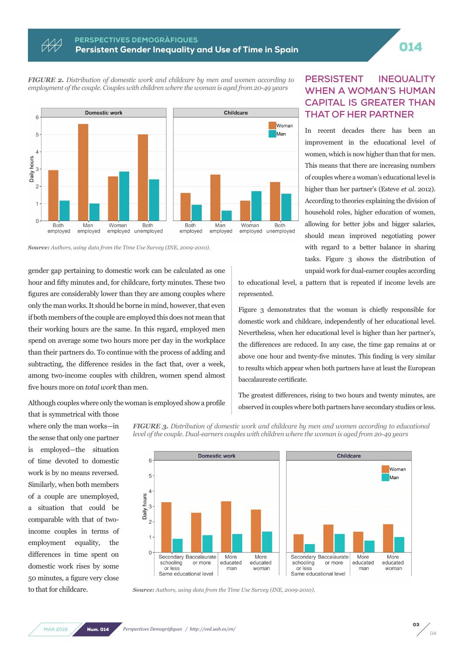# PERSPECTIVES DEMOGRAFIQUES<br>Persistent Gender Inequality and Use of Time in Spain Persistent Control of Control

*FIGURE 2. Distribution of domestic work and childcare by men and women according to employment of the couple. Couples with children where the woman is aged from 20-49 years*



*Source: Authors, using data from the Time Use Survey (INE, 2009-2010).*

gender gap pertaining to domestic work can be calculated as one hour and fifty minutes and, for childcare, forty minutes. These two figures are considerably lower than they are among couples where only the man works. It should be borne in mind, however, that even if both members of the couple are employed this does not mean that their working hours are the same. In this regard, employed men spend on average some two hours more per day in the workplace than their partners do. To continue with the process of adding and subtracting, the difference resides in the fact that, over a week, among two-income couples with children, women spend almost five hours more on *total work* than men.

Although couples where only the woman is employed show a profile

that is symmetrical with those where only the man works—in the sense that only one partner is employed—the situation of time devoted to domestic work is by no means reversed. Similarly, when both members of a couple are unemployed, a situation that could be comparable with that of twoincome couples in terms of employment equality, the differences in time spent on domestic work rises by some 50 minutes, a figure very close to that for childcare.

*FIGURE 3. Distribution of domestic work and childcare by men and women according to educational level of the couple. Dual-earners couples with children where the woman is aged from 20-49 years* 



## **PERSISTENT INEQUALITY WHEN A WOMAN'S HUMAN CAPITAL IS GREATER THAN THAT OF HER PARTNER**

In recent decades there has been an improvement in the educational level of women, which is now higher than that for men. This means that there are increasing numbers of couples where a woman's educational level is higher than her partner's (Esteve *et al*. 2012). According to theories explaining the division of household roles, higher education of women, allowing for better jobs and bigger salaries, should mean improved negotiating power with regard to a better balance in sharing tasks. Figure 3 shows the distribution of unpaid work for dual-earner couples according

to educational level, a pattern that is repeated if income levels are represented.

Figure 3 demonstrates that the woman is chiefly responsible for domestic work and childcare, independently of her educational level. Nevertheless, when her educational level is higher than her partner's, the differences are reduced. In any case, the time gap remains at or above one hour and twenty-five minutes. This finding is very similar to results which appear when both partners have at least the European baccalaureate certificate.

The greatest differences, rising to two hours and twenty minutes, are observed in couples where both partners have secondary studies or less.

*Source: Authors, using data from the Time Use Survey (INE, 2009-2010).*

**MAR 2019** Num. 014 *Perspectives Demogràfiques / http://ced.uab.es/en/*